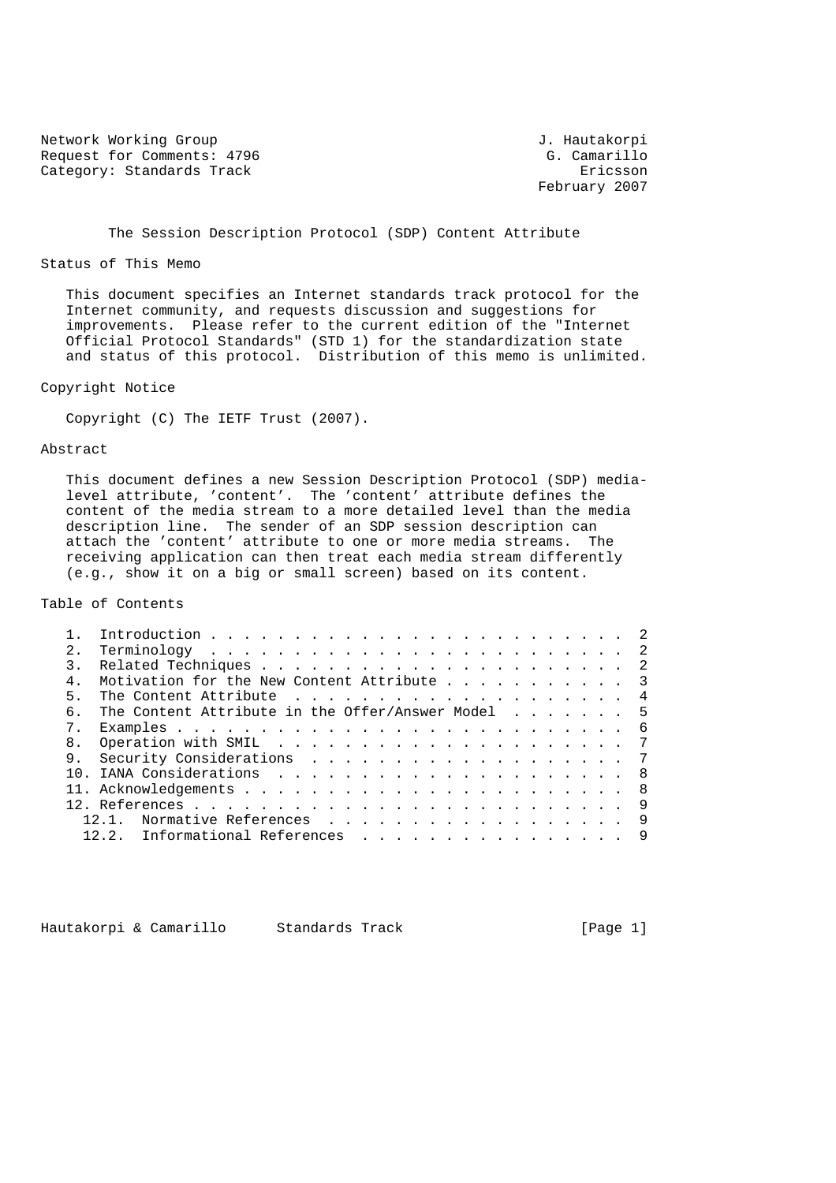Network Working Group 3. Hautakorpi Request for Comments: 4796 G. Camarillo Category: Standards Track Ericsson

February 2007

## The Session Description Protocol (SDP) Content Attribute

#### Status of This Memo

 This document specifies an Internet standards track protocol for the Internet community, and requests discussion and suggestions for improvements. Please refer to the current edition of the "Internet Official Protocol Standards" (STD 1) for the standardization state and status of this protocol. Distribution of this memo is unlimited.

## Copyright Notice

Copyright (C) The IETF Trust (2007).

# Abstract

 This document defines a new Session Description Protocol (SDP) media level attribute, 'content'. The 'content' attribute defines the content of the media stream to a more detailed level than the media description line. The sender of an SDP session description can attach the 'content' attribute to one or more media streams. The receiving application can then treat each media stream differently (e.g., show it on a big or small screen) based on its content.

#### Table of Contents

| 2.  |                                                   |  |
|-----|---------------------------------------------------|--|
|     |                                                   |  |
|     | Motivation for the New Content Attribute 3        |  |
| 5   |                                                   |  |
| რ — | The Content Attribute in the Offer/Answer Model 5 |  |
|     |                                                   |  |
|     |                                                   |  |
|     |                                                   |  |
|     |                                                   |  |
|     |                                                   |  |
|     |                                                   |  |
|     | Normative References 9                            |  |
|     | Informational References 9<br>12.2.               |  |
|     |                                                   |  |

Hautakorpi & Camarillo Standards Track [Page 1]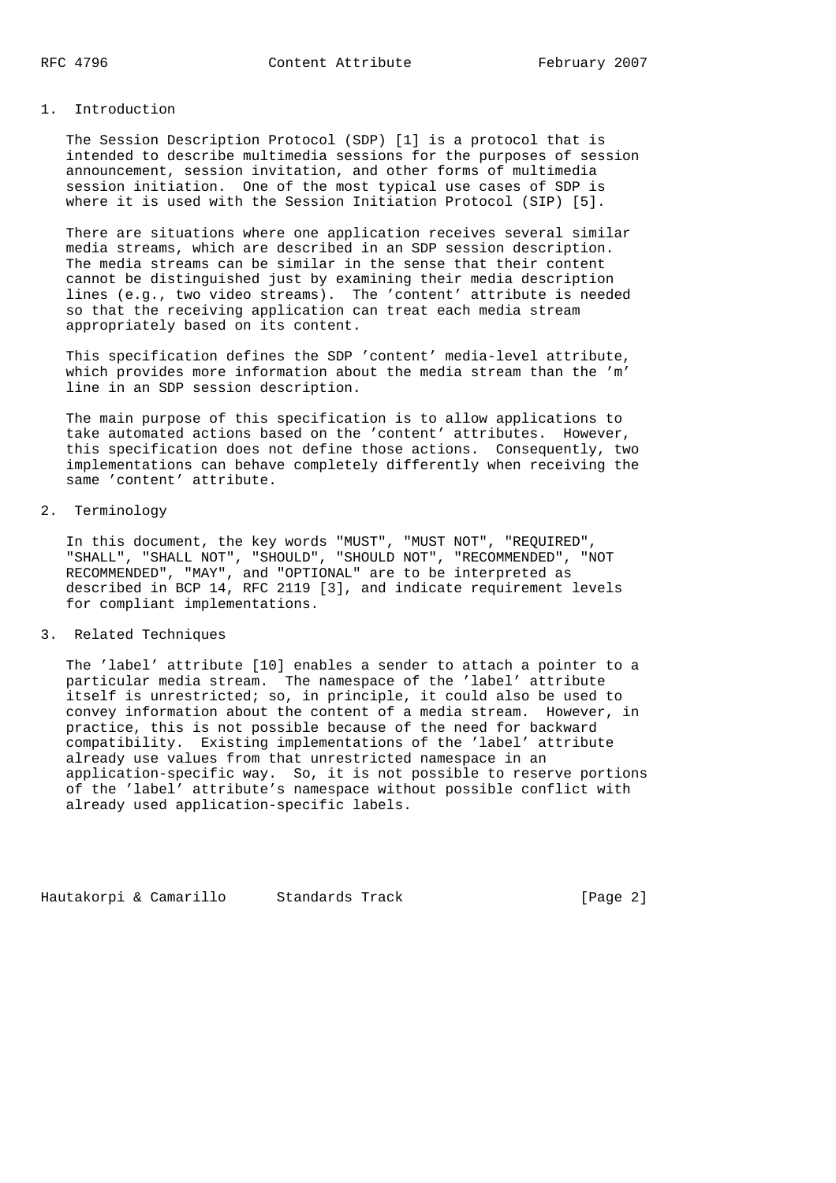# 1. Introduction

 The Session Description Protocol (SDP) [1] is a protocol that is intended to describe multimedia sessions for the purposes of session announcement, session invitation, and other forms of multimedia session initiation. One of the most typical use cases of SDP is where it is used with the Session Initiation Protocol (SIP) [5].

 There are situations where one application receives several similar media streams, which are described in an SDP session description. The media streams can be similar in the sense that their content cannot be distinguished just by examining their media description lines (e.g., two video streams). The 'content' attribute is needed so that the receiving application can treat each media stream appropriately based on its content.

 This specification defines the SDP 'content' media-level attribute, which provides more information about the media stream than the 'm' line in an SDP session description.

 The main purpose of this specification is to allow applications to take automated actions based on the 'content' attributes. However, this specification does not define those actions. Consequently, two implementations can behave completely differently when receiving the same 'content' attribute.

## 2. Terminology

 In this document, the key words "MUST", "MUST NOT", "REQUIRED", "SHALL", "SHALL NOT", "SHOULD", "SHOULD NOT", "RECOMMENDED", "NOT RECOMMENDED", "MAY", and "OPTIONAL" are to be interpreted as described in BCP 14, RFC 2119 [3], and indicate requirement levels for compliant implementations.

## 3. Related Techniques

 The 'label' attribute [10] enables a sender to attach a pointer to a particular media stream. The namespace of the 'label' attribute itself is unrestricted; so, in principle, it could also be used to convey information about the content of a media stream. However, in practice, this is not possible because of the need for backward compatibility. Existing implementations of the 'label' attribute already use values from that unrestricted namespace in an application-specific way. So, it is not possible to reserve portions of the 'label' attribute's namespace without possible conflict with already used application-specific labels.

Hautakorpi & Camarillo Standards Track (Page 2)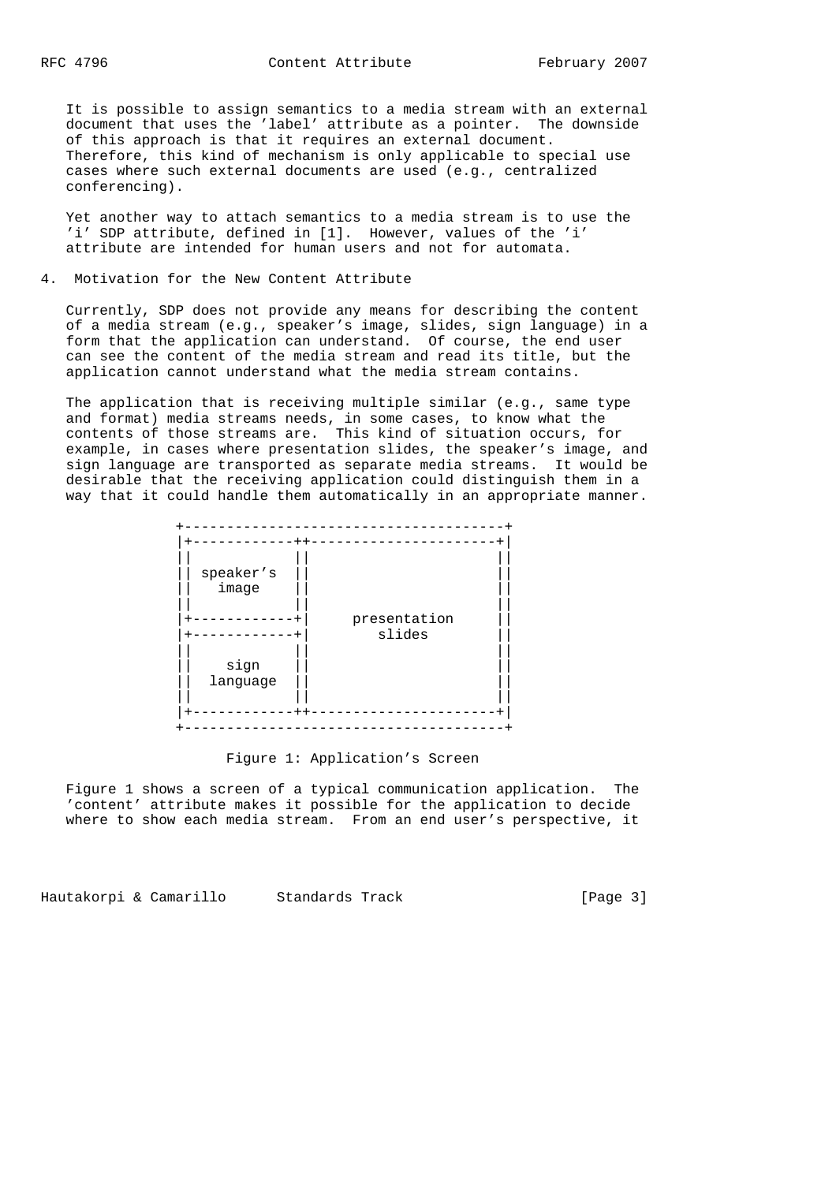It is possible to assign semantics to a media stream with an external document that uses the 'label' attribute as a pointer. The downside of this approach is that it requires an external document. Therefore, this kind of mechanism is only applicable to special use cases where such external documents are used (e.g., centralized conferencing).

 Yet another way to attach semantics to a media stream is to use the 'i' SDP attribute, defined in [1]. However, values of the 'i' attribute are intended for human users and not for automata.

## 4. Motivation for the New Content Attribute

 Currently, SDP does not provide any means for describing the content of a media stream (e.g., speaker's image, slides, sign language) in a form that the application can understand. Of course, the end user can see the content of the media stream and read its title, but the application cannot understand what the media stream contains.

 The application that is receiving multiple similar (e.g., same type and format) media streams needs, in some cases, to know what the contents of those streams are. This kind of situation occurs, for example, in cases where presentation slides, the speaker's image, and sign language are transported as separate media streams. It would be desirable that the receiving application could distinguish them in a way that it could handle them automatically in an appropriate manner.

| speaker's        |                        |  |
|------------------|------------------------|--|
| image            |                        |  |
|                  | presentation<br>slides |  |
| sign<br>language |                        |  |
|                  |                        |  |

#### Figure 1: Application's Screen

 Figure 1 shows a screen of a typical communication application. The 'content' attribute makes it possible for the application to decide where to show each media stream. From an end user's perspective, it

Hautakorpi & Camarillo Standards Track (Page 3)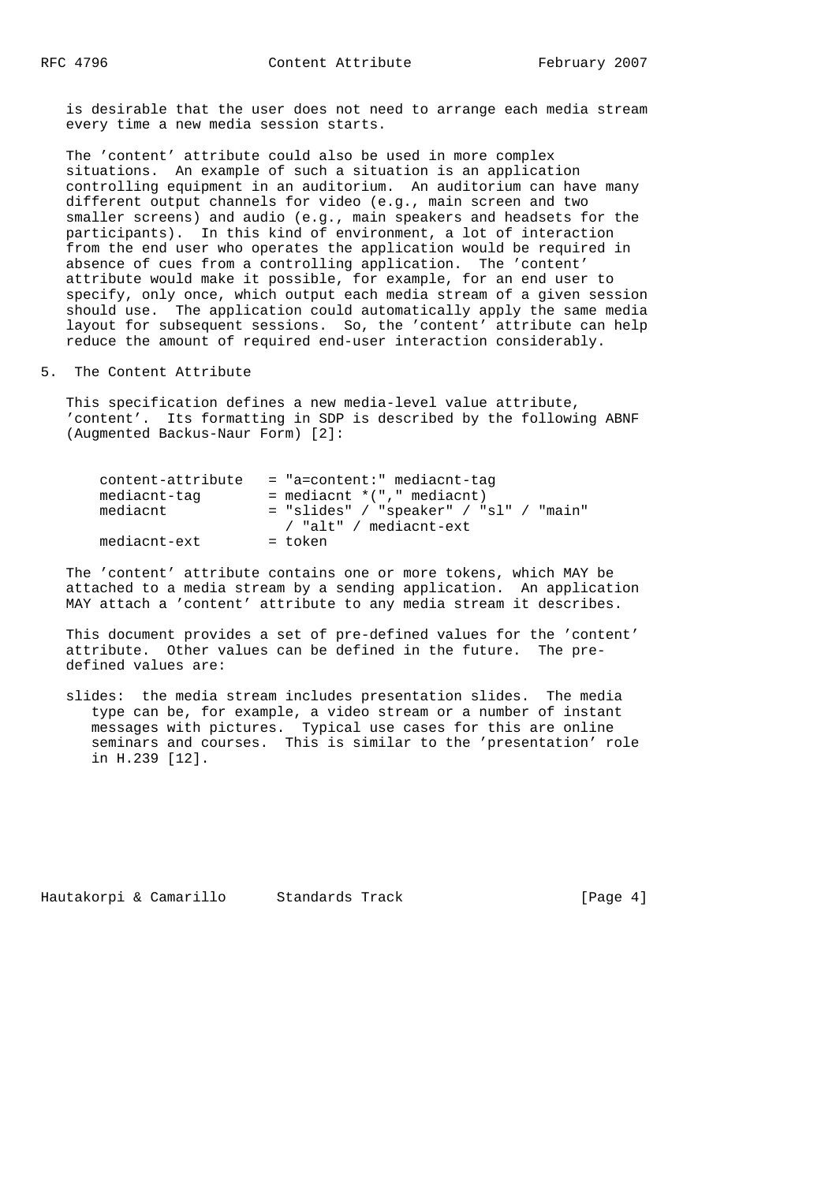is desirable that the user does not need to arrange each media stream every time a new media session starts.

 The 'content' attribute could also be used in more complex situations. An example of such a situation is an application controlling equipment in an auditorium. An auditorium can have many different output channels for video (e.g., main screen and two smaller screens) and audio (e.g., main speakers and headsets for the participants). In this kind of environment, a lot of interaction from the end user who operates the application would be required in absence of cues from a controlling application. The 'content' attribute would make it possible, for example, for an end user to specify, only once, which output each media stream of a given session should use. The application could automatically apply the same media layout for subsequent sessions. So, the 'content' attribute can help reduce the amount of required end-user interaction considerably.

## 5. The Content Attribute

 This specification defines a new media-level value attribute, 'content'. Its formatting in SDP is described by the following ABNF (Augmented Backus-Naur Form) [2]:

| content-attribute | = "a=content:" mediacnt-tag              |
|-------------------|------------------------------------------|
| mediacnt-tag      | $=$ mediacnt $*(", "$ mediacnt)          |
| mediacnt          | $=$ "slides" / "speaker" / "sl" / "main" |
|                   | / "alt" / mediacnt-ext                   |
| mediacnt-ext      | = token                                  |

 The 'content' attribute contains one or more tokens, which MAY be attached to a media stream by a sending application. An application MAY attach a 'content' attribute to any media stream it describes.

 This document provides a set of pre-defined values for the 'content' attribute. Other values can be defined in the future. The pre defined values are:

 slides: the media stream includes presentation slides. The media type can be, for example, a video stream or a number of instant messages with pictures. Typical use cases for this are online seminars and courses. This is similar to the 'presentation' role in H.239 [12].

Hautakorpi & Camarillo Standards Track (Page 4)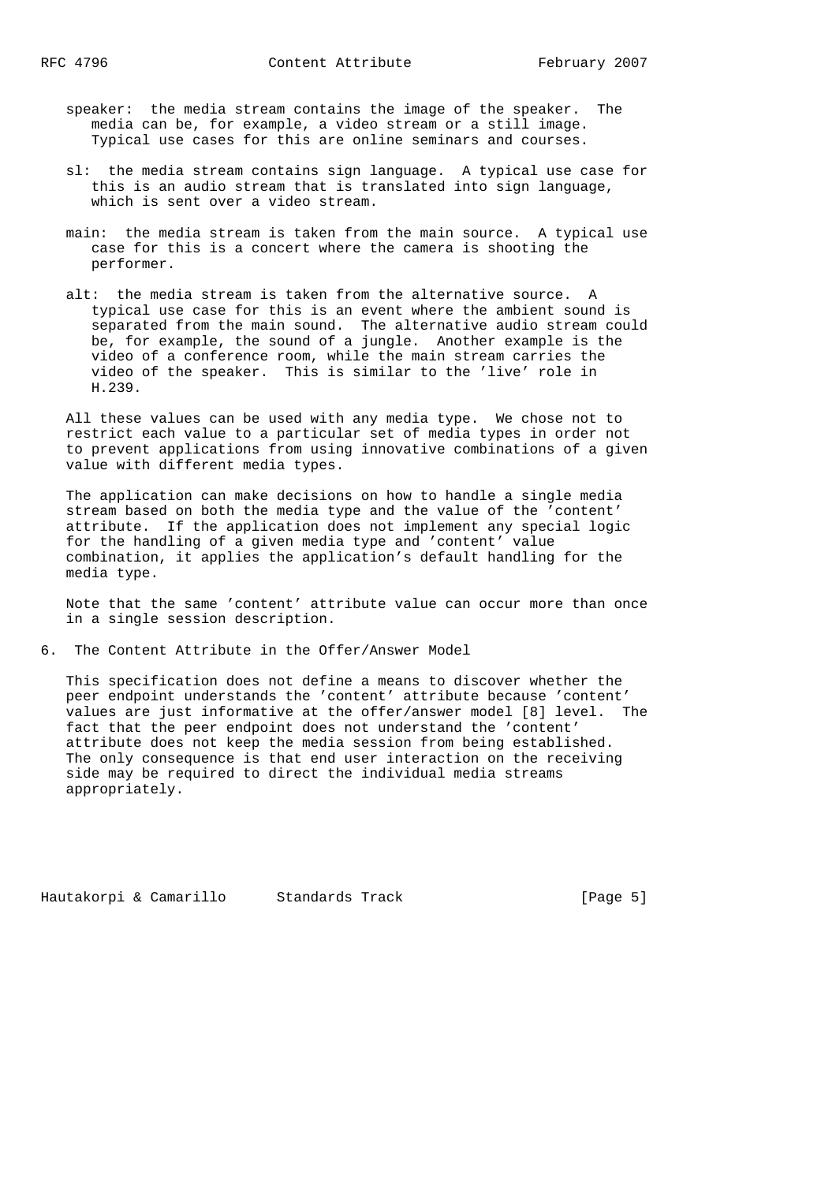- speaker: the media stream contains the image of the speaker. The media can be, for example, a video stream or a still image. Typical use cases for this are online seminars and courses.
- sl: the media stream contains sign language. A typical use case for this is an audio stream that is translated into sign language, which is sent over a video stream.
- main: the media stream is taken from the main source. A typical use case for this is a concert where the camera is shooting the performer.
- alt: the media stream is taken from the alternative source. A typical use case for this is an event where the ambient sound is separated from the main sound. The alternative audio stream could be, for example, the sound of a jungle. Another example is the video of a conference room, while the main stream carries the video of the speaker. This is similar to the 'live' role in H.239.

 All these values can be used with any media type. We chose not to restrict each value to a particular set of media types in order not to prevent applications from using innovative combinations of a given value with different media types.

 The application can make decisions on how to handle a single media stream based on both the media type and the value of the 'content' attribute. If the application does not implement any special logic for the handling of a given media type and 'content' value combination, it applies the application's default handling for the media type.

 Note that the same 'content' attribute value can occur more than once in a single session description.

6. The Content Attribute in the Offer/Answer Model

 This specification does not define a means to discover whether the peer endpoint understands the 'content' attribute because 'content' values are just informative at the offer/answer model [8] level. The fact that the peer endpoint does not understand the 'content' attribute does not keep the media session from being established. The only consequence is that end user interaction on the receiving side may be required to direct the individual media streams appropriately.

Hautakorpi & Camarillo Standards Track (Page 5)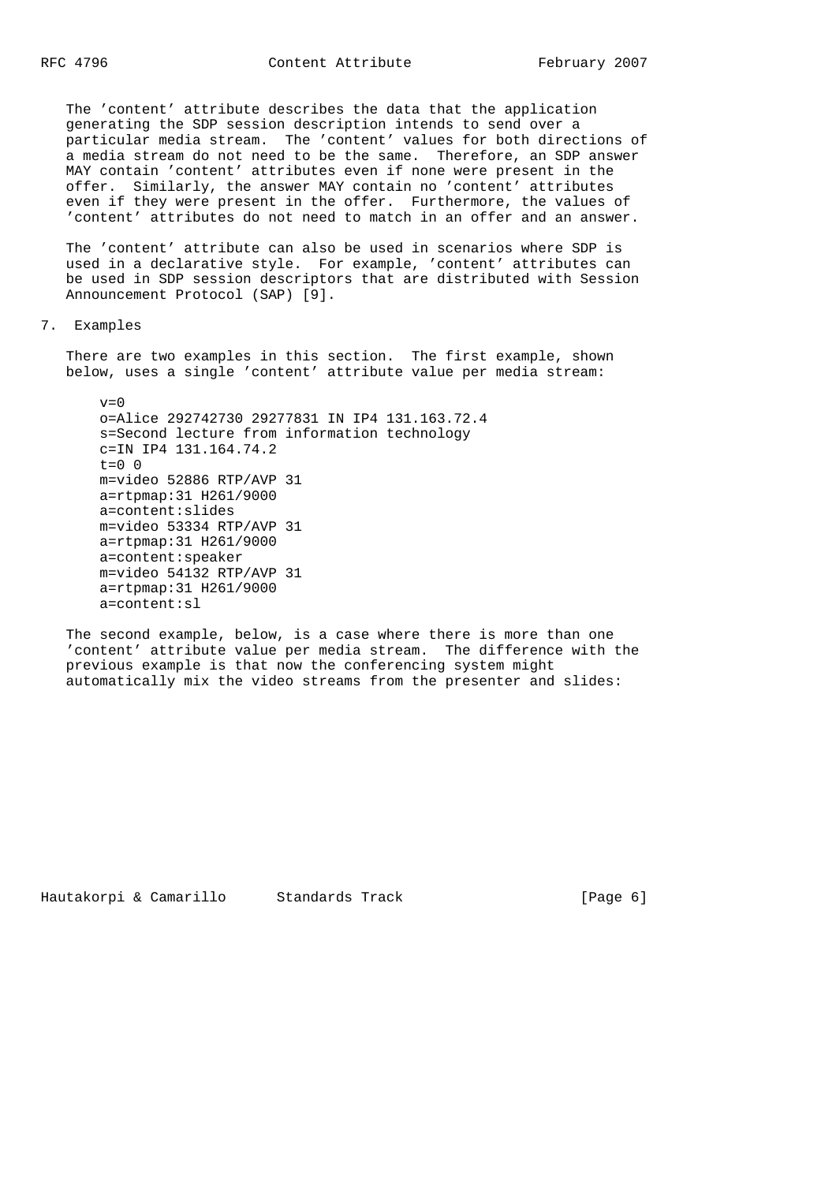The 'content' attribute describes the data that the application generating the SDP session description intends to send over a particular media stream. The 'content' values for both directions of a media stream do not need to be the same. Therefore, an SDP answer MAY contain 'content' attributes even if none were present in the offer. Similarly, the answer MAY contain no 'content' attributes even if they were present in the offer. Furthermore, the values of 'content' attributes do not need to match in an offer and an answer.

 The 'content' attribute can also be used in scenarios where SDP is used in a declarative style. For example, 'content' attributes can be used in SDP session descriptors that are distributed with Session Announcement Protocol (SAP) [9].

7. Examples

 There are two examples in this section. The first example, shown below, uses a single 'content' attribute value per media stream:

 $v=0$  o=Alice 292742730 29277831 IN IP4 131.163.72.4 s=Second lecture from information technology c=IN IP4 131.164.74.2  $t=0$  0 m=video 52886 RTP/AVP 31 a=rtpmap:31 H261/9000 a=content:slides m=video 53334 RTP/AVP 31 a=rtpmap:31 H261/9000 a=content:speaker m=video 54132 RTP/AVP 31 a=rtpmap:31 H261/9000 a=content:sl

 The second example, below, is a case where there is more than one 'content' attribute value per media stream. The difference with the previous example is that now the conferencing system might automatically mix the video streams from the presenter and slides:

Hautakorpi & Camarillo Standards Track (Page 6)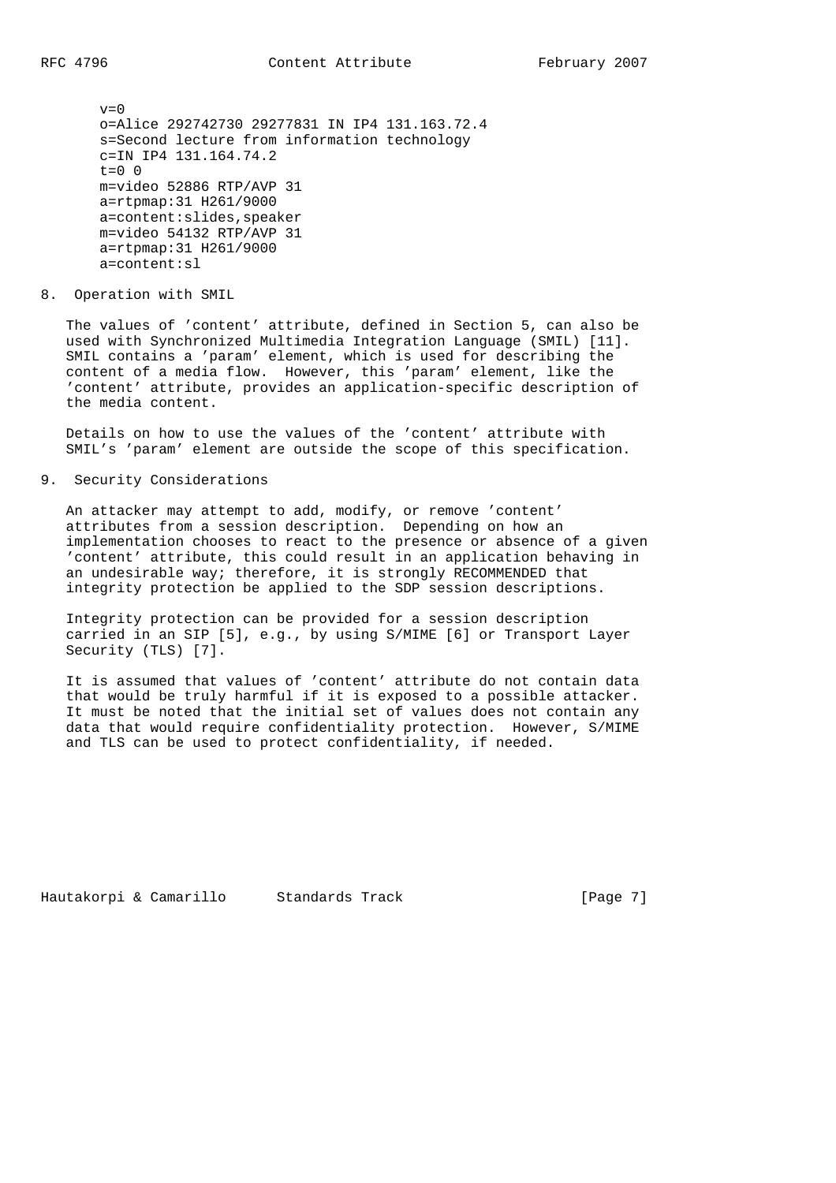$v=0$  o=Alice 292742730 29277831 IN IP4 131.163.72.4 s=Second lecture from information technology c=IN IP4 131.164.74.2  $t=0$  0 m=video 52886 RTP/AVP 31 a=rtpmap:31 H261/9000 a=content:slides,speaker m=video 54132 RTP/AVP 31 a=rtpmap:31 H261/9000 a=content:sl

8. Operation with SMIL

 The values of 'content' attribute, defined in Section 5, can also be used with Synchronized Multimedia Integration Language (SMIL) [11]. SMIL contains a 'param' element, which is used for describing the content of a media flow. However, this 'param' element, like the 'content' attribute, provides an application-specific description of the media content.

 Details on how to use the values of the 'content' attribute with SMIL's 'param' element are outside the scope of this specification.

9. Security Considerations

 An attacker may attempt to add, modify, or remove 'content' attributes from a session description. Depending on how an implementation chooses to react to the presence or absence of a given 'content' attribute, this could result in an application behaving in an undesirable way; therefore, it is strongly RECOMMENDED that integrity protection be applied to the SDP session descriptions.

 Integrity protection can be provided for a session description carried in an SIP [5], e.g., by using S/MIME [6] or Transport Layer Security (TLS) [7].

 It is assumed that values of 'content' attribute do not contain data that would be truly harmful if it is exposed to a possible attacker. It must be noted that the initial set of values does not contain any data that would require confidentiality protection. However, S/MIME and TLS can be used to protect confidentiality, if needed.

Hautakorpi & Camarillo Standards Track (Page 7)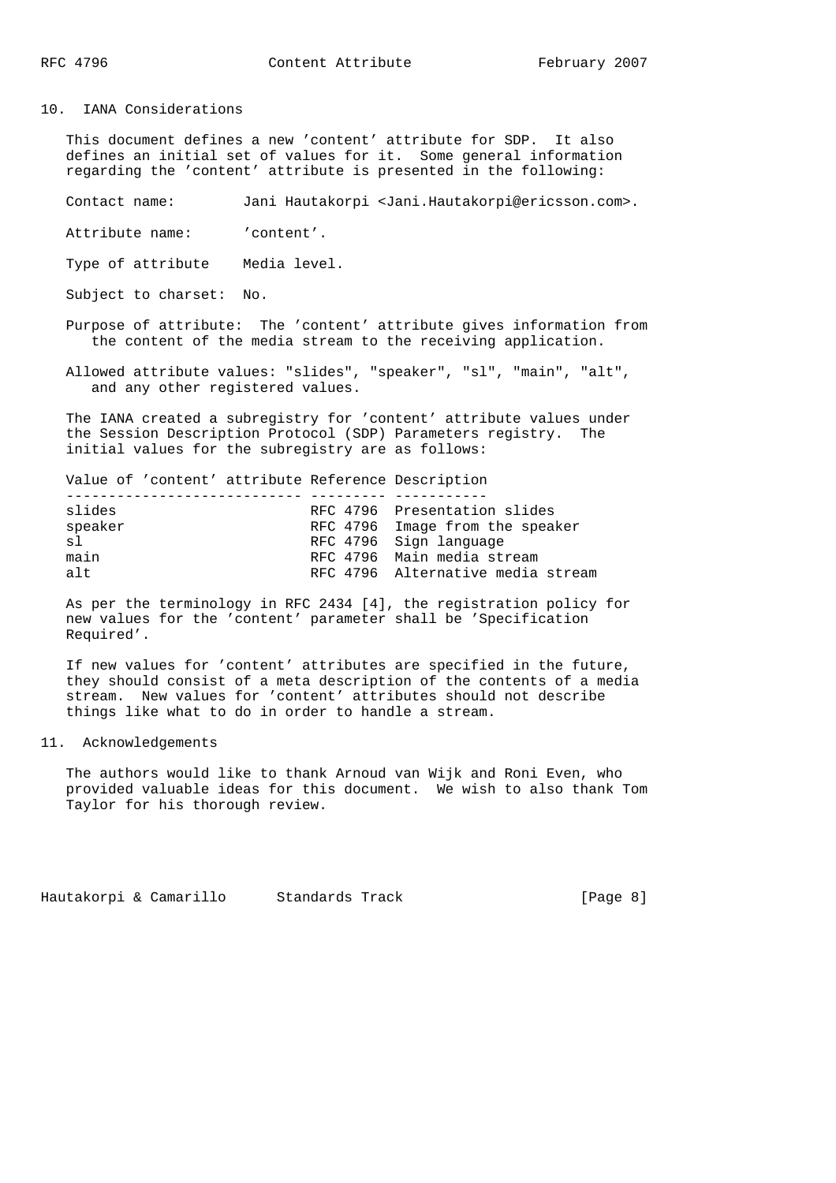10. IANA Considerations

 This document defines a new 'content' attribute for SDP. It also defines an initial set of values for it. Some general information regarding the 'content' attribute is presented in the following:

Contact name: Jani Hautakorpi <Jani.Hautakorpi@ericsson.com>.

Attribute name: 'content'.

Type of attribute Media level.

Subject to charset: No.

 Purpose of attribute: The 'content' attribute gives information from the content of the media stream to the receiving application.

 Allowed attribute values: "slides", "speaker", "sl", "main", "alt", and any other registered values.

 The IANA created a subregistry for 'content' attribute values under the Session Description Protocol (SDP) Parameters registry. The initial values for the subregistry are as follows:

 Value of 'content' attribute Reference Description ---------------------------- --------- ----------- RFC 4796 Presentation slides speaker RFC 4796 Image from the speaker sl RFC 4796 Sign language main RFC 4796 Main media stream alt RFC 4796 Alternative media stream

 As per the terminology in RFC 2434 [4], the registration policy for new values for the 'content' parameter shall be 'Specification Required'.

 If new values for 'content' attributes are specified in the future, they should consist of a meta description of the contents of a media stream. New values for 'content' attributes should not describe things like what to do in order to handle a stream.

#### 11. Acknowledgements

 The authors would like to thank Arnoud van Wijk and Roni Even, who provided valuable ideas for this document. We wish to also thank Tom Taylor for his thorough review.

Hautakorpi & Camarillo Standards Track (Page 8)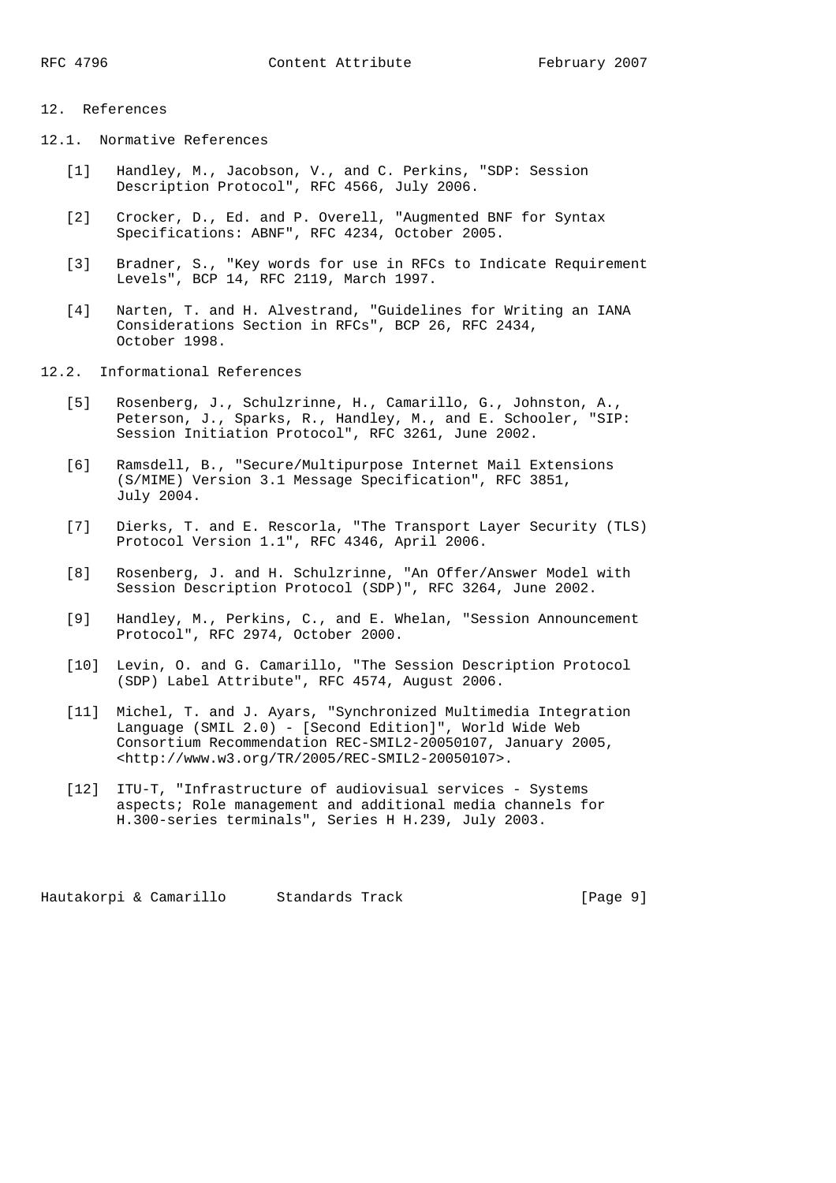# 12. References

- 12.1. Normative References
	- [1] Handley, M., Jacobson, V., and C. Perkins, "SDP: Session Description Protocol", RFC 4566, July 2006.
	- [2] Crocker, D., Ed. and P. Overell, "Augmented BNF for Syntax Specifications: ABNF", RFC 4234, October 2005.
	- [3] Bradner, S., "Key words for use in RFCs to Indicate Requirement Levels", BCP 14, RFC 2119, March 1997.
	- [4] Narten, T. and H. Alvestrand, "Guidelines for Writing an IANA Considerations Section in RFCs", BCP 26, RFC 2434, October 1998.
- 12.2. Informational References
	- [5] Rosenberg, J., Schulzrinne, H., Camarillo, G., Johnston, A., Peterson, J., Sparks, R., Handley, M., and E. Schooler, "SIP: Session Initiation Protocol", RFC 3261, June 2002.
	- [6] Ramsdell, B., "Secure/Multipurpose Internet Mail Extensions (S/MIME) Version 3.1 Message Specification", RFC 3851, July 2004.
	- [7] Dierks, T. and E. Rescorla, "The Transport Layer Security (TLS) Protocol Version 1.1", RFC 4346, April 2006.
	- [8] Rosenberg, J. and H. Schulzrinne, "An Offer/Answer Model with Session Description Protocol (SDP)", RFC 3264, June 2002.
	- [9] Handley, M., Perkins, C., and E. Whelan, "Session Announcement Protocol", RFC 2974, October 2000.
	- [10] Levin, O. and G. Camarillo, "The Session Description Protocol (SDP) Label Attribute", RFC 4574, August 2006.
	- [11] Michel, T. and J. Ayars, "Synchronized Multimedia Integration Language (SMIL 2.0) - [Second Edition]", World Wide Web Consortium Recommendation REC-SMIL2-20050107, January 2005, <http://www.w3.org/TR/2005/REC-SMIL2-20050107>.
	- [12] ITU-T, "Infrastructure of audiovisual services Systems aspects; Role management and additional media channels for H.300-series terminals", Series H H.239, July 2003.

Hautakorpi & Camarillo Standards Track (Page 9)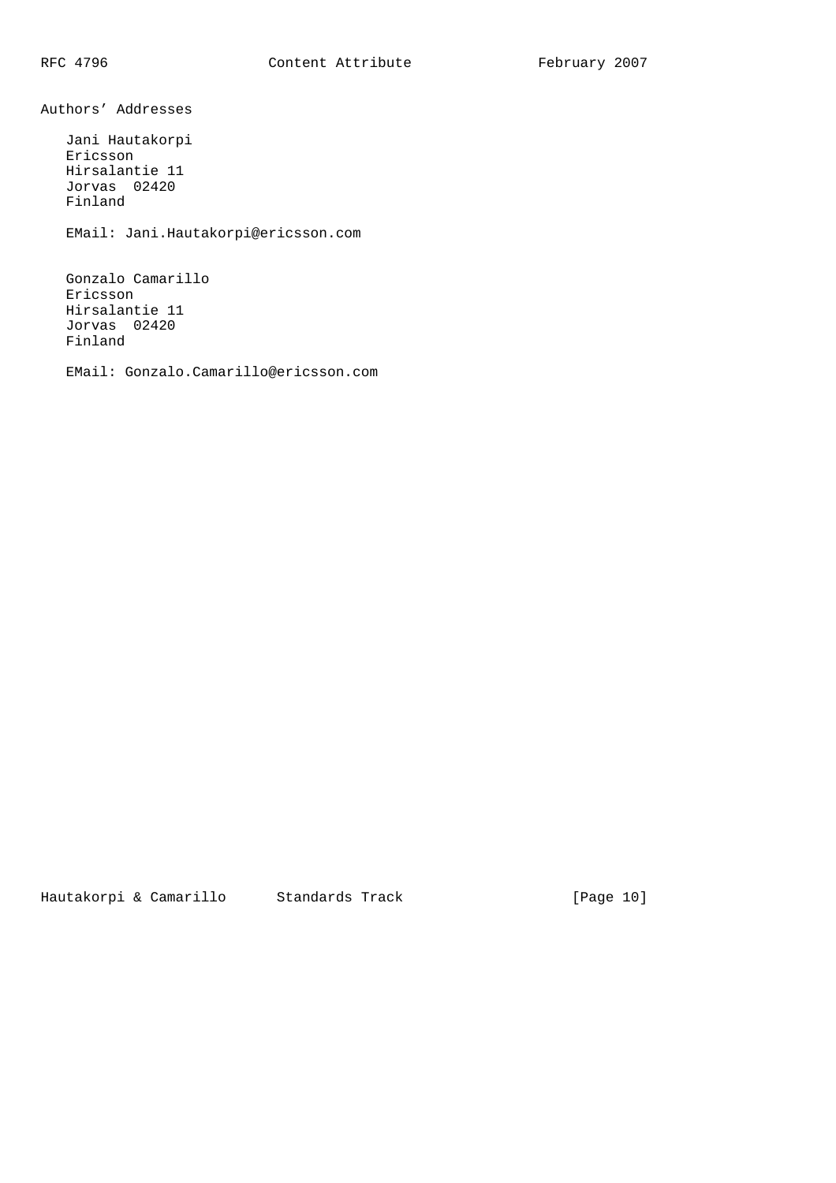Authors' Addresses Jani Hautakorpi Ericsson Hirsalantie 11

Jorvas 02420

Finland

EMail: Jani.Hautakorpi@ericsson.com

 Gonzalo Camarillo Ericsson Hirsalantie 11 Jorvas 02420 Finland

EMail: Gonzalo.Camarillo@ericsson.com

Hautakorpi & Camarillo Standards Track [Page 10]